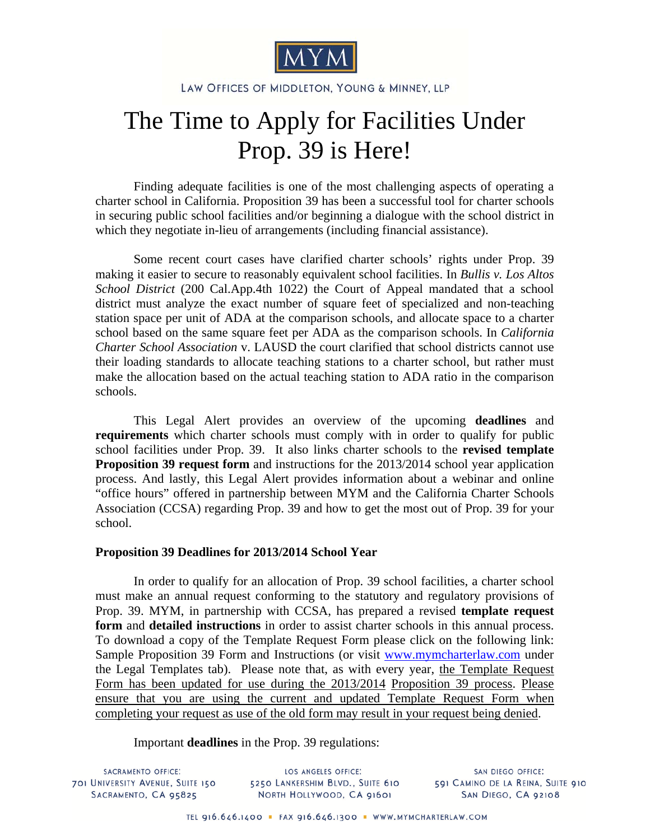

LAW OFFICES OF MIDDLETON, YOUNG & MINNEY, LLP

## The Time to Apply for Facilities Under Prop. 39 is Here!

Finding adequate facilities is one of the most challenging aspects of operating a charter school in California. Proposition 39 has been a successful tool for charter schools in securing public school facilities and/or beginning a dialogue with the school district in which they negotiate in-lieu of arrangements (including financial assistance).

Some recent court cases have clarified charter schools' rights under Prop. 39 making it easier to secure to reasonably equivalent school facilities. In *Bullis v. Los Altos School District* (200 Cal.App.4th 1022) the Court of Appeal mandated that a school district must analyze the exact number of square feet of specialized and non-teaching station space per unit of ADA at the comparison schools, and allocate space to a charter school based on the same square feet per ADA as the comparison schools. In *California Charter School Association* v. LAUSD the court clarified that school districts cannot use their loading standards to allocate teaching stations to a charter school, but rather must make the allocation based on the actual teaching station to ADA ratio in the comparison schools.

This Legal Alert provides an overview of the upcoming **deadlines** and **requirements** which charter schools must comply with in order to qualify for public school facilities under Prop. 39. It also links charter schools to the **[revised template](http://www.mymcharterlaw.com/docs/Prop39_Template_Request_13-14_(CLEAN).doc)  [Proposition 39 request](http://www.mymcharterlaw.com/docs/Prop39_Template_Request_13-14_(CLEAN).doc) form** and instructions for the 2013/2014 school year application process. And lastly, this Legal Alert provides information about a webinar and online "office hours" offered in partnership between MYM and the California Charter Schools Association (CCSA) regarding Prop. 39 and how to get the most out of Prop. 39 for your school.

## **Proposition 39 Deadlines for 2013/2014 School Year**

In order to qualify for an allocation of Prop. 39 school facilities, a charter school must make an annual request conforming to the statutory and regulatory provisions of Prop. 39. MYM, in partnership with CCSA, has prepared a revised **template request form** and **detailed instructions** in order to assist charter schools in this annual process. To download a copy of the Template Request Form please click on the following link: [Sample Proposition 39 Form and Instructions](http://www.mymcharterlaw.com/docs/Prop39_Template_Request_13-14_(CLEAN).doc) (or visit www.mymcharterlaw.com under the Legal Templates tab). Please note that, as with every year, the Template Request Form has been updated for use during the 2013/2014 Proposition 39 process. Please ensure that you are using the current and updated Template Request Form when completing your request as use of the old form may result in your request being denied.

Important **deadlines** in the Prop. 39 regulations:

SACRAMENTO OFFICE: 701 UNIVERSITY AVENUE, SUITE 150 SACRAMENTO, CA 95825

LOS ANGELES OFFICE: 5250 LANKERSHIM BLVD., SUITE 610 NORTH HOLLYWOOD, CA 91601

SAN DIEGO OFFICE: 591 CAMINO DE LA REINA, SUITE 910 SAN DIEGO, CA 92108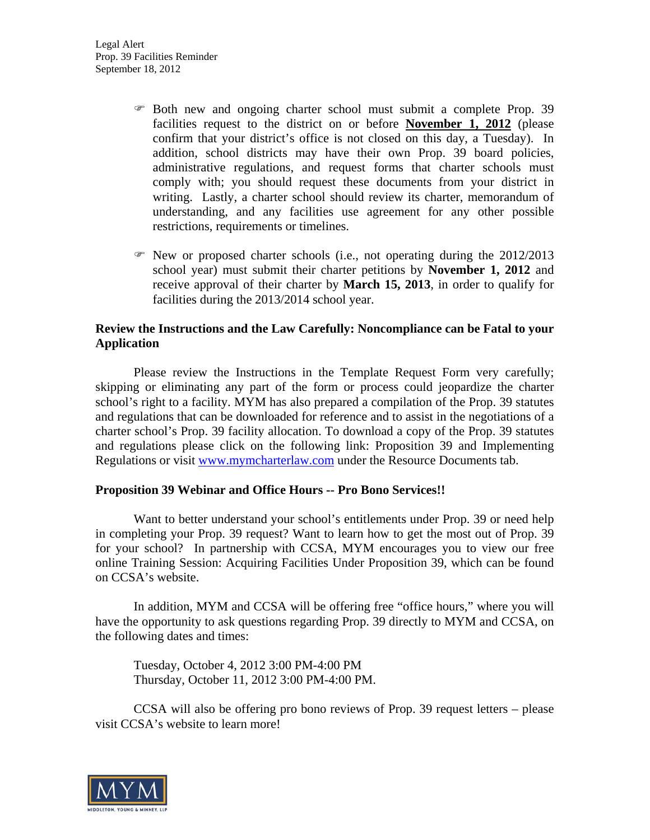- Both new and ongoing charter school must submit a complete Prop. 39 facilities request to the district on or before **November 1, 2012** (please confirm that your district's office is not closed on this day, a Tuesday). In addition, school districts may have their own Prop. 39 board policies, administrative regulations, and request forms that charter schools must comply with; you should request these documents from your district in writing. Lastly, a charter school should review its charter, memorandum of understanding, and any facilities use agreement for any other possible restrictions, requirements or timelines.
- $\mathcal{F}$  New or proposed charter schools (i.e., not operating during the 2012/2013 school year) must submit their charter petitions by **November 1, 2012** and receive approval of their charter by **March 15, 2013**, in order to qualify for facilities during the 2013/2014 school year.

## **Review the Instructions and the Law Carefully: Noncompliance can be Fatal to your Application**

Please review the Instructions in the Template Request Form very carefully; skipping or eliminating any part of the form or process could jeopardize the charter school's right to a facility. MYM has also prepared a compilation of the Prop. 39 statutes and regulations that can be downloaded for reference and to assist in the negotiations of a charter school's Prop. 39 facility allocation. To download a copy of the Prop. 39 statutes and regulations please click on the following link: [Proposition 39 and Implementing](http://www.mymcharterlaw.com/pdf/Prop_39_Statutes_and_Regulations_092112.pdf)  [Regulations](http://www.mymcharterlaw.com/pdf/Prop_39_Statutes_and_Regulations_092112.pdf) or visit www.mymcharterlaw.com under the Resource Documents tab.

## **Proposition 39 Webinar and Office Hours -- Pro Bono Services!!**

Want to better understand your school's entitlements under Prop. 39 or need help in completing your Prop. 39 request? Want to learn how to get the most out of Prop. 39 for your school? In partnership with CCSA, MYM encourages you to view our free online Training Session: Acquiring Facilities Under Proposition 39, which can be found on CCSA's website.

In addition, MYM and CCSA will be offering free "office hours," where you will have the opportunity to ask questions regarding Prop. 39 directly to MYM and CCSA, on the following dates and times:

Tuesday, October 4, 2012 3:00 PM-4:00 PM Thursday, October 11, 2012 3:00 PM-4:00 PM.

CCSA will also be offering pro bono reviews of Prop. 39 request letters – please visit CCSA's website to learn more!